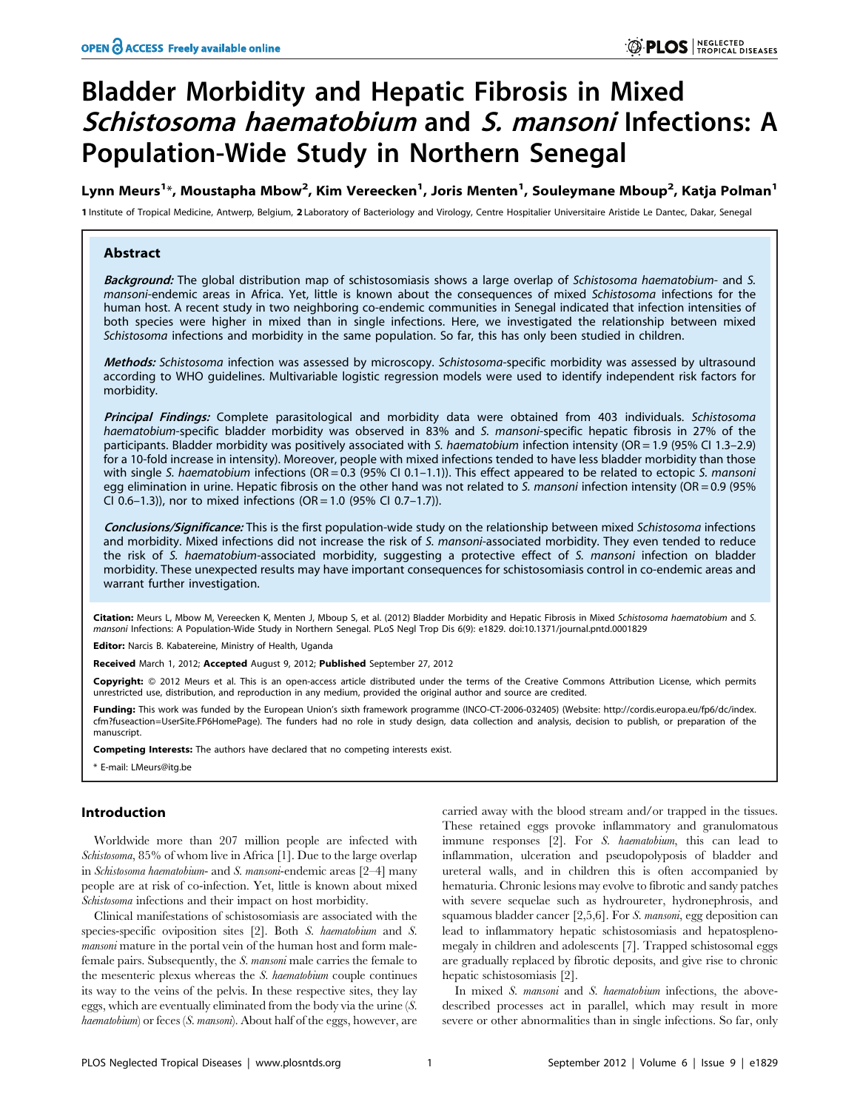# Bladder Morbidity and Hepatic Fibrosis in Mixed Schistosoma haematobium and S. mansoni Infections: A Population-Wide Study in Northern Senegal

Lynn Meurs<sup>1</sup>\*, Moustapha Mbow<sup>2</sup>, Kim Vereecken<sup>1</sup>, Joris Menten<sup>1</sup>, Souleymane Mboup<sup>2</sup>, Katja Polman<sup>1</sup>

1 Institute of Tropical Medicine, Antwerp, Belgium, 2 Laboratory of Bacteriology and Virology, Centre Hospitalier Universitaire Aristide Le Dantec, Dakar, Senegal

# Abstract

Background: The global distribution map of schistosomiasis shows a large overlap of Schistosoma haematobium- and S. mansoni-endemic areas in Africa. Yet, little is known about the consequences of mixed Schistosoma infections for the human host. A recent study in two neighboring co-endemic communities in Senegal indicated that infection intensities of both species were higher in mixed than in single infections. Here, we investigated the relationship between mixed Schistosoma infections and morbidity in the same population. So far, this has only been studied in children.

Methods: Schistosoma infection was assessed by microscopy. Schistosoma-specific morbidity was assessed by ultrasound according to WHO guidelines. Multivariable logistic regression models were used to identify independent risk factors for morbidity.

Principal Findings: Complete parasitological and morbidity data were obtained from 403 individuals. Schistosoma haematobium-specific bladder morbidity was observed in 83% and S. mansoni-specific hepatic fibrosis in 27% of the participants. Bladder morbidity was positively associated with S. haematobium infection intensity (OR = 1.9 (95% CI 1.3–2.9) for a 10-fold increase in intensity). Moreover, people with mixed infections tended to have less bladder morbidity than those with single S. haematobium infections (OR = 0.3 (95% CI 0.1–1.1)). This effect appeared to be related to ectopic S. mansoni egg elimination in urine. Hepatic fibrosis on the other hand was not related to S. mansoni infection intensity (OR =  $0.9$  (95% CI 0.6–1.3)), nor to mixed infections (OR = 1.0 (95% CI 0.7–1.7)).

Conclusions/Significance: This is the first population-wide study on the relationship between mixed Schistosoma infections and morbidity. Mixed infections did not increase the risk of S. mansoni-associated morbidity. They even tended to reduce the risk of S. haematobium-associated morbidity, suggesting a protective effect of S. mansoni infection on bladder morbidity. These unexpected results may have important consequences for schistosomiasis control in co-endemic areas and warrant further investigation.

Citation: Meurs L, Mbow M, Vereecken K, Menten J, Mboup S, et al. (2012) Bladder Morbidity and Hepatic Fibrosis in Mixed Schistosoma haematobium and S. mansoni Infections: A Population-Wide Study in Northern Senegal. PLoS Negl Trop Dis 6(9): e1829. doi:10.1371/journal.pntd.0001829

Editor: Narcis B. Kabatereine, Ministry of Health, Uganda

Received March 1, 2012; Accepted August 9, 2012; Published September 27, 2012

Copyright: © 2012 Meurs et al. This is an open-access article distributed under the terms of the Creative Commons Attribution License, which permits unrestricted use, distribution, and reproduction in any medium, provided the original author and source are credited.

Funding: This work was funded by the European Union's sixth framework programme (INCO-CT-2006-032405) (Website: http://cordis.europa.eu/fp6/dc/index. cfm?fuseaction=UserSite.FP6HomePage). The funders had no role in study design, data collection and analysis, decision to publish, or preparation of the manuscript.

Competing Interests: The authors have declared that no competing interests exist.

\* E-mail: LMeurs@itg.be

# Introduction

Worldwide more than 207 million people are infected with Schistosoma, 85% of whom live in Africa [1]. Due to the large overlap in Schistosoma haematobium- and S. mansoni-endemic areas [2–4] many people are at risk of co-infection. Yet, little is known about mixed Schistosoma infections and their impact on host morbidity.

Clinical manifestations of schistosomiasis are associated with the species-specific oviposition sites [2]. Both S. haematobium and S. mansoni mature in the portal vein of the human host and form malefemale pairs. Subsequently, the S. mansoni male carries the female to the mesenteric plexus whereas the S. haematobium couple continues its way to the veins of the pelvis. In these respective sites, they lay eggs, which are eventually eliminated from the body via the urine (S. haematobium) or feces (S. mansoni). About half of the eggs, however, are

carried away with the blood stream and/or trapped in the tissues. These retained eggs provoke inflammatory and granulomatous immune responses [2]. For S. haematobium, this can lead to inflammation, ulceration and pseudopolyposis of bladder and ureteral walls, and in children this is often accompanied by hematuria. Chronic lesions may evolve to fibrotic and sandy patches with severe sequelae such as hydroureter, hydronephrosis, and squamous bladder cancer [2,5,6]. For S. mansoni, egg deposition can lead to inflammatory hepatic schistosomiasis and hepatosplenomegaly in children and adolescents [7]. Trapped schistosomal eggs are gradually replaced by fibrotic deposits, and give rise to chronic hepatic schistosomiasis [2].

In mixed S. mansoni and S. haematobium infections, the abovedescribed processes act in parallel, which may result in more severe or other abnormalities than in single infections. So far, only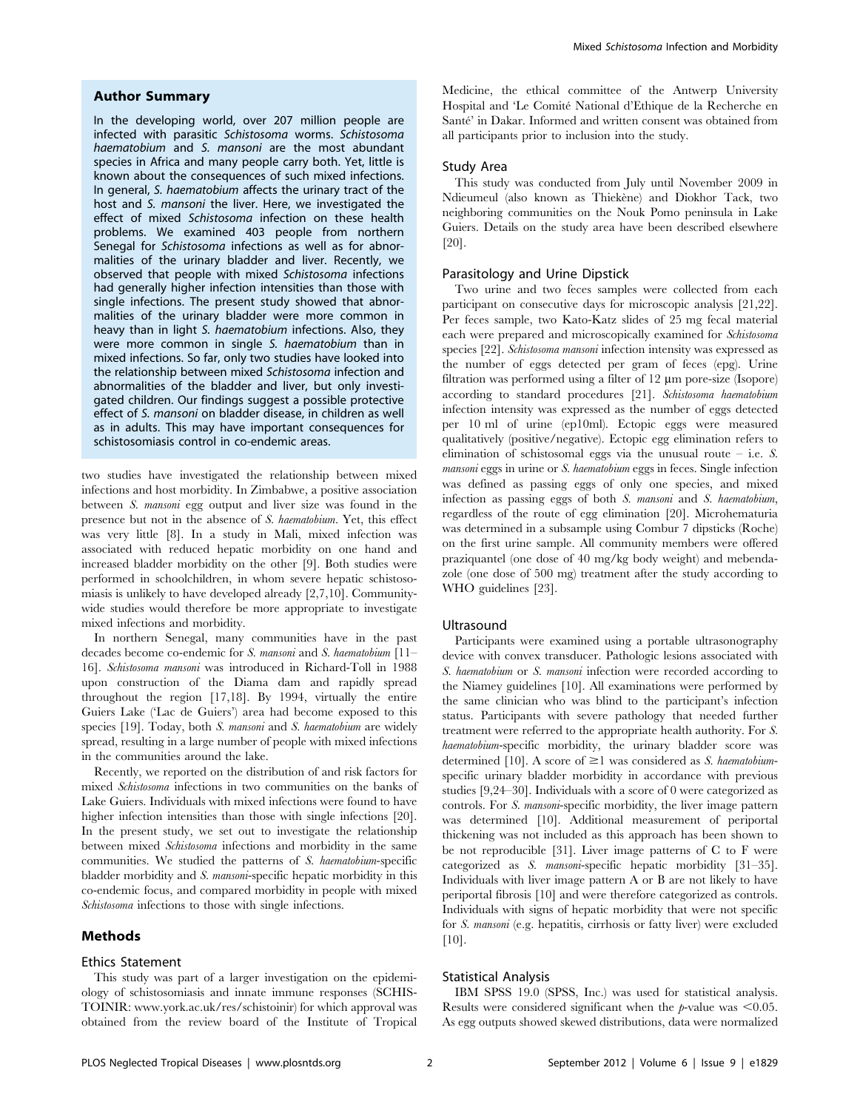## Author Summary

In the developing world, over 207 million people are infected with parasitic Schistosoma worms. Schistosoma haematobium and S. mansoni are the most abundant species in Africa and many people carry both. Yet, little is known about the consequences of such mixed infections. In general, S. haematobium affects the urinary tract of the host and S. mansoni the liver. Here, we investigated the effect of mixed Schistosoma infection on these health problems. We examined 403 people from northern Senegal for Schistosoma infections as well as for abnormalities of the urinary bladder and liver. Recently, we observed that people with mixed Schistosoma infections had generally higher infection intensities than those with single infections. The present study showed that abnormalities of the urinary bladder were more common in heavy than in light S. haematobium infections. Also, they were more common in single S. haematobium than in mixed infections. So far, only two studies have looked into the relationship between mixed Schistosoma infection and abnormalities of the bladder and liver, but only investigated children. Our findings suggest a possible protective effect of S. mansoni on bladder disease, in children as well as in adults. This may have important consequences for schistosomiasis control in co-endemic areas.

two studies have investigated the relationship between mixed infections and host morbidity. In Zimbabwe, a positive association between S. mansoni egg output and liver size was found in the presence but not in the absence of S. haematobium. Yet, this effect was very little [8]. In a study in Mali, mixed infection was associated with reduced hepatic morbidity on one hand and increased bladder morbidity on the other [9]. Both studies were performed in schoolchildren, in whom severe hepatic schistosomiasis is unlikely to have developed already [2,7,10]. Communitywide studies would therefore be more appropriate to investigate mixed infections and morbidity.

In northern Senegal, many communities have in the past decades become co-endemic for S. mansoni and S. haematobium [11– 16]. Schistosoma mansoni was introduced in Richard-Toll in 1988 upon construction of the Diama dam and rapidly spread throughout the region [17,18]. By 1994, virtually the entire Guiers Lake ('Lac de Guiers') area had become exposed to this species [19]. Today, both S. mansoni and S. haematobium are widely spread, resulting in a large number of people with mixed infections in the communities around the lake.

Recently, we reported on the distribution of and risk factors for mixed Schistosoma infections in two communities on the banks of Lake Guiers. Individuals with mixed infections were found to have higher infection intensities than those with single infections [20]. In the present study, we set out to investigate the relationship between mixed Schistosoma infections and morbidity in the same communities. We studied the patterns of S. haematobium-specific bladder morbidity and S. mansoni-specific hepatic morbidity in this co-endemic focus, and compared morbidity in people with mixed Schistosoma infections to those with single infections.

## **Methods**

## Ethics Statement

This study was part of a larger investigation on the epidemiology of schistosomiasis and innate immune responses (SCHIS-TOINIR: www.york.ac.uk/res/schistoinir) for which approval was obtained from the review board of the Institute of Tropical Medicine, the ethical committee of the Antwerp University Hospital and 'Le Comité National d'Ethique de la Recherche en Santé' in Dakar. Informed and written consent was obtained from all participants prior to inclusion into the study.

## Study Area

This study was conducted from July until November 2009 in Ndieumeul (also known as Thiekène) and Diokhor Tack, two neighboring communities on the Nouk Pomo peninsula in Lake Guiers. Details on the study area have been described elsewhere [20].

## Parasitology and Urine Dipstick

Two urine and two feces samples were collected from each participant on consecutive days for microscopic analysis [21,22]. Per feces sample, two Kato-Katz slides of 25 mg fecal material each were prepared and microscopically examined for Schistosoma species [22]. Schistosoma mansoni infection intensity was expressed as the number of eggs detected per gram of feces (epg). Urine filtration was performed using a filter of  $12 \mu m$  pore-size (Isopore) according to standard procedures [21]. Schistosoma haematobium infection intensity was expressed as the number of eggs detected per 10 ml of urine (ep10ml). Ectopic eggs were measured qualitatively (positive/negative). Ectopic egg elimination refers to elimination of schistosomal eggs via the unusual route – i.e.  $S$ . mansoni eggs in urine or S. haematobium eggs in feces. Single infection was defined as passing eggs of only one species, and mixed infection as passing eggs of both S. mansoni and S. haematobium, regardless of the route of egg elimination [20]. Microhematuria was determined in a subsample using Combur 7 dipsticks (Roche) on the first urine sample. All community members were offered praziquantel (one dose of 40 mg/kg body weight) and mebendazole (one dose of 500 mg) treatment after the study according to WHO guidelines [23].

#### Ultrasound

Participants were examined using a portable ultrasonography device with convex transducer. Pathologic lesions associated with S. haematobium or S. mansoni infection were recorded according to the Niamey guidelines [10]. All examinations were performed by the same clinician who was blind to the participant's infection status. Participants with severe pathology that needed further treatment were referred to the appropriate health authority. For S. haematobium-specific morbidity, the urinary bladder score was determined [10]. A score of  $\geq 1$  was considered as S. haematobiumspecific urinary bladder morbidity in accordance with previous studies [9,24–30]. Individuals with a score of 0 were categorized as controls. For S. mansoni-specific morbidity, the liver image pattern was determined [10]. Additional measurement of periportal thickening was not included as this approach has been shown to be not reproducible [31]. Liver image patterns of C to F were categorized as S. mansoni-specific hepatic morbidity [31–35]. Individuals with liver image pattern A or B are not likely to have periportal fibrosis [10] and were therefore categorized as controls. Individuals with signs of hepatic morbidity that were not specific for S. mansoni (e.g. hepatitis, cirrhosis or fatty liver) were excluded [10].

## Statistical Analysis

IBM SPSS 19.0 (SPSS, Inc.) was used for statistical analysis. Results were considered significant when the  $p$ -value was  $\leq 0.05$ . As egg outputs showed skewed distributions, data were normalized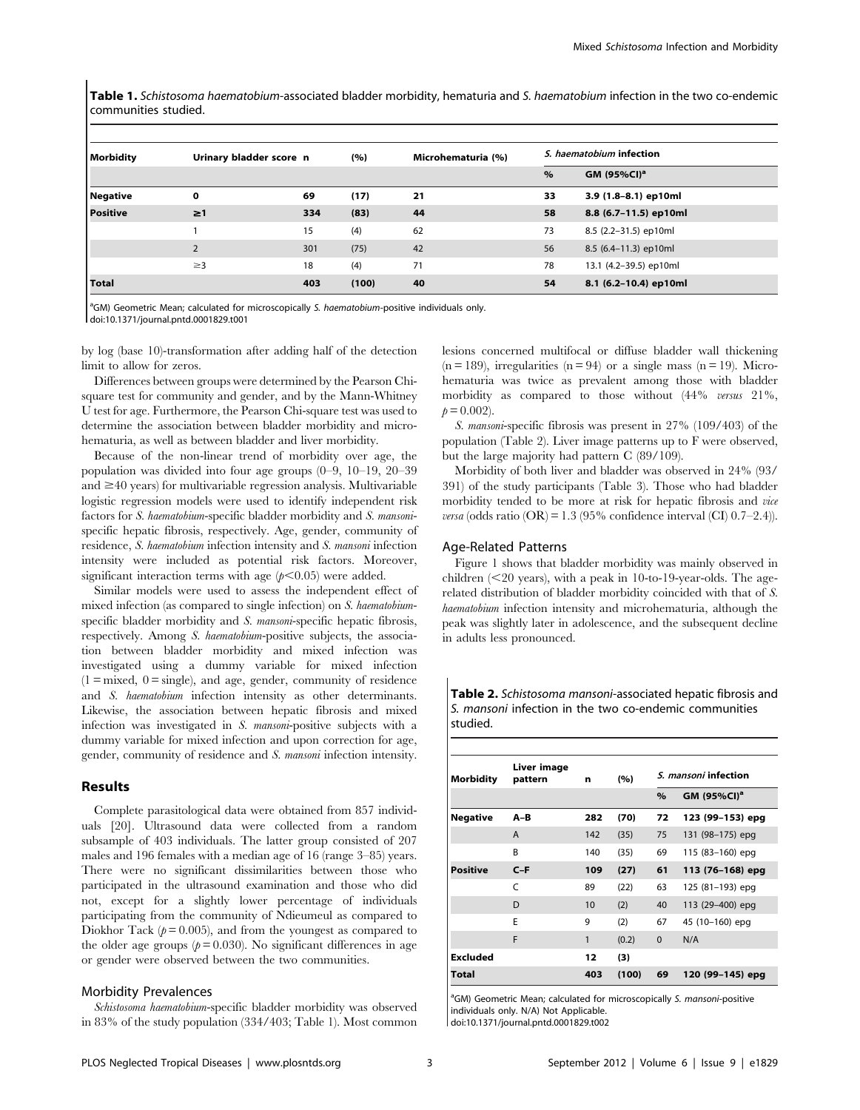Table 1. Schistosoma haematobium-associated bladder morbidity, hematuria and S. haematobium infection in the two co-endemic communities studied.

| Morbidity       | Urinary bladder score n |     | (%)   | Microhematuria (%) | S. haematobium infection |                         |
|-----------------|-------------------------|-----|-------|--------------------|--------------------------|-------------------------|
|                 |                         |     |       |                    | $\%$                     | GM (95%CI) <sup>a</sup> |
| <b>Negative</b> | 0                       | 69  | (17)  | 21                 | 33                       | 3.9 (1.8-8.1) ep10ml    |
| <b>Positive</b> | $\geq$ 1                | 334 | (83)  | 44                 | 58                       | 8.8 (6.7-11.5) ep10ml   |
|                 |                         | 15  | (4)   | 62                 | 73                       | 8.5 (2.2-31.5) ep10ml   |
|                 | $\overline{2}$          | 301 | (75)  | 42                 | 56                       | 8.5 (6.4-11.3) ep10ml   |
|                 | $\geq$ 3                | 18  | (4)   | 71                 | 78                       | 13.1 (4.2-39.5) ep10ml  |
| <b>Total</b>    |                         | 403 | (100) | 40                 | 54                       | 8.1 (6.2-10.4) ep10ml   |

<sup>a</sup>GM) Geometric Mean; calculated for microscopically S. haematobium-positive individuals only. doi:10.1371/journal.pntd.0001829.t001

by log (base 10)-transformation after adding half of the detection limit to allow for zeros.

Differences between groups were determined by the Pearson Chisquare test for community and gender, and by the Mann-Whitney U test for age. Furthermore, the Pearson Chi-square test was used to determine the association between bladder morbidity and microhematuria, as well as between bladder and liver morbidity.

Because of the non-linear trend of morbidity over age, the population was divided into four age groups (0–9, 10–19, 20–39 and  $\geq$ 40 years) for multivariable regression analysis. Multivariable logistic regression models were used to identify independent risk factors for S. haematobium-specific bladder morbidity and S. mansonispecific hepatic fibrosis, respectively. Age, gender, community of residence, S. haematobium infection intensity and S. mansoni infection intensity were included as potential risk factors. Moreover, significant interaction terms with age  $(p<0.05)$  were added.

Similar models were used to assess the independent effect of mixed infection (as compared to single infection) on S. haematobiumspecific bladder morbidity and S. mansoni-specific hepatic fibrosis, respectively. Among S. haematobium-positive subjects, the association between bladder morbidity and mixed infection was investigated using a dummy variable for mixed infection  $(1 = mixed, 0 = single)$ , and age, gender, community of residence and S. haematobium infection intensity as other determinants. Likewise, the association between hepatic fibrosis and mixed infection was investigated in S. mansoni-positive subjects with a dummy variable for mixed infection and upon correction for age, gender, community of residence and S. mansoni infection intensity.

### Results

Complete parasitological data were obtained from 857 individuals [20]. Ultrasound data were collected from a random subsample of 403 individuals. The latter group consisted of 207 males and 196 females with a median age of 16 (range 3–85) years. There were no significant dissimilarities between those who participated in the ultrasound examination and those who did not, except for a slightly lower percentage of individuals participating from the community of Ndieumeul as compared to Diokhor Tack  $(p = 0.005)$ , and from the youngest as compared to the older age groups  $(p= 0.030)$ . No significant differences in age or gender were observed between the two communities.

#### Morbidity Prevalences

Schistosoma haematobium-specific bladder morbidity was observed in 83% of the study population (334/403; Table 1). Most common lesions concerned multifocal or diffuse bladder wall thickening  $(n = 189)$ , irregularities  $(n = 94)$  or a single mass  $(n = 19)$ . Microhematuria was twice as prevalent among those with bladder morbidity as compared to those without  $(44\%$  versus  $21\%$ ,  $p = 0.002$ ).

S. mansoni-specific fibrosis was present in 27% (109/403) of the population (Table 2). Liver image patterns up to F were observed, but the large majority had pattern C (89/109).

Morbidity of both liver and bladder was observed in 24% (93/ 391) of the study participants (Table 3). Those who had bladder morbidity tended to be more at risk for hepatic fibrosis and vice versa (odds ratio (OR) = 1.3 (95% confidence interval (CI)  $0.7-2.4$ ).

#### Age-Related Patterns

Figure 1 shows that bladder morbidity was mainly observed in children  $( $20$  years)$ , with a peak in 10-to-19-year-olds. The agerelated distribution of bladder morbidity coincided with that of S. haematobium infection intensity and microhematuria, although the peak was slightly later in adolescence, and the subsequent decline in adults less pronounced.

Table 2. Schistosoma mansoni-associated hepatic fibrosis and S. mansoni infection in the two co-endemic communities studied.

| <b>Morbidity</b> | Liver image<br>pattern | n            | (9)   | S. mansoni infection |                         |  |
|------------------|------------------------|--------------|-------|----------------------|-------------------------|--|
|                  |                        |              |       | $\%$                 | GM (95%CI) <sup>a</sup> |  |
| <b>Negative</b>  | $A-B$                  | 282          | (70)  | 72                   | 123 (99-153) epg        |  |
|                  | A                      | 142          | (35)  | 75                   | 131 (98-175) epg        |  |
|                  | B                      | 140          | (35)  | 69                   | 115 (83-160) epg        |  |
| <b>Positive</b>  | $C-F$                  | 109          | (27)  | 61                   | 113 (76-168) epg        |  |
|                  | $\epsilon$             | 89           | (22)  | 63                   | 125 (81-193) epg        |  |
|                  | D                      | 10           | (2)   | 40                   | 113 (29-400) epg        |  |
|                  | E                      | 9            | (2)   | 67                   | 45 (10-160) epg         |  |
|                  | F                      | $\mathbf{1}$ | (0.2) | $\mathbf 0$          | N/A                     |  |
| <b>Excluded</b>  |                        | 12           | (3)   |                      |                         |  |
| Total            |                        | 403          | (100) | 69                   | 120 (99-145) epg        |  |

<sup>a</sup>GM) Geometric Mean; calculated for microscopically S. mansoni-positive individuals only. N/A) Not Applicable. doi:10.1371/journal.pntd.0001829.t002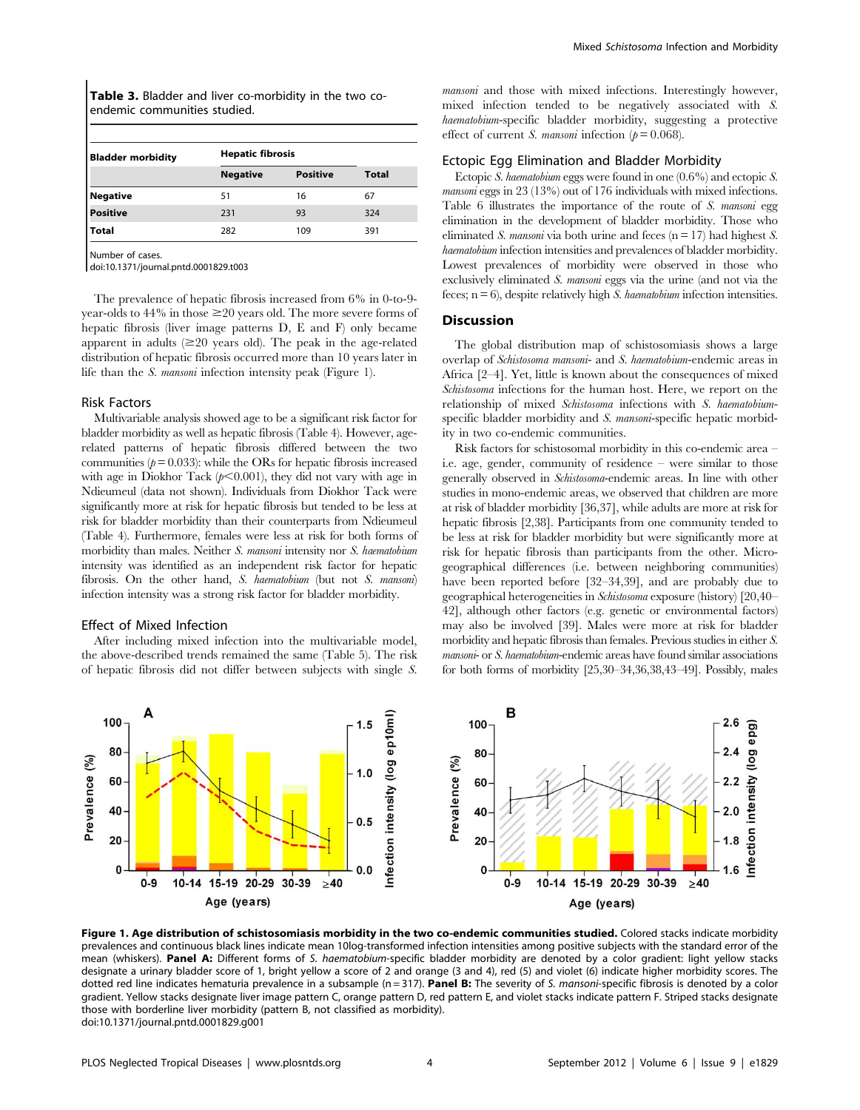Table 3. Bladder and liver co-morbidity in the two coendemic communities studied.

| <b>Bladder morbidity</b> | <b>Hepatic fibrosis</b> |                 |              |  |
|--------------------------|-------------------------|-----------------|--------------|--|
|                          | <b>Negative</b>         | <b>Positive</b> | <b>Total</b> |  |
| <b>Negative</b>          | 51                      | 16              | 67           |  |
| <b>Positive</b>          | 231                     | 93              | 324          |  |
| <b>Total</b>             | 282                     | 109             | 391          |  |

Number of cases.

doi:10.1371/journal.pntd.0001829.t003

The prevalence of hepatic fibrosis increased from 6% in 0-to-9 year-olds to  $44\%$  in those  $\geq 20$  years old. The more severe forms of hepatic fibrosis (liver image patterns D, E and F) only became apparent in adults  $(\geq 20$  years old). The peak in the age-related distribution of hepatic fibrosis occurred more than 10 years later in life than the S. mansoni infection intensity peak (Figure 1).

#### Risk Factors

Multivariable analysis showed age to be a significant risk factor for bladder morbidity as well as hepatic fibrosis (Table 4). However, agerelated patterns of hepatic fibrosis differed between the two communities ( $p = 0.033$ ): while the ORs for hepatic fibrosis increased with age in Diokhor Tack  $(p<0.001)$ , they did not vary with age in Ndieumeul (data not shown). Individuals from Diokhor Tack were significantly more at risk for hepatic fibrosis but tended to be less at risk for bladder morbidity than their counterparts from Ndieumeul (Table 4). Furthermore, females were less at risk for both forms of morbidity than males. Neither S. mansoni intensity nor S. haematobium intensity was identified as an independent risk factor for hepatic fibrosis. On the other hand, S. haematobium (but not S. mansoni) infection intensity was a strong risk factor for bladder morbidity.

#### Effect of Mixed Infection

After including mixed infection into the multivariable model, the above-described trends remained the same (Table 5). The risk of hepatic fibrosis did not differ between subjects with single S.

mansoni and those with mixed infections. Interestingly however, mixed infection tended to be negatively associated with S. haematobium-specific bladder morbidity, suggesting a protective effect of current *S. mansoni* infection ( $p = 0.068$ ).

## Ectopic Egg Elimination and Bladder Morbidity

Ectopic S. haematobium eggs were found in one (0.6%) and ectopic S. mansoni eggs in 23 (13%) out of 176 individuals with mixed infections. Table 6 illustrates the importance of the route of S. mansoni egg elimination in the development of bladder morbidity. Those who eliminated S. mansoni via both urine and feces ( $n = 17$ ) had highest S. haematobium infection intensities and prevalences of bladder morbidity. Lowest prevalences of morbidity were observed in those who exclusively eliminated S. mansoni eggs via the urine (and not via the feces;  $n = 6$ ), despite relatively high *S. haematobium* infection intensities.

## Discussion

The global distribution map of schistosomiasis shows a large overlap of Schistosoma mansoni- and S. haematobium-endemic areas in Africa [2–4]. Yet, little is known about the consequences of mixed Schistosoma infections for the human host. Here, we report on the relationship of mixed Schistosoma infections with S. haematobiumspecific bladder morbidity and S. mansoni-specific hepatic morbidity in two co-endemic communities.

Risk factors for schistosomal morbidity in this co-endemic area – i.e. age, gender, community of residence – were similar to those generally observed in Schistosoma-endemic areas. In line with other studies in mono-endemic areas, we observed that children are more at risk of bladder morbidity [36,37], while adults are more at risk for hepatic fibrosis [2,38]. Participants from one community tended to be less at risk for bladder morbidity but were significantly more at risk for hepatic fibrosis than participants from the other. Microgeographical differences (i.e. between neighboring communities) have been reported before [32–34,39], and are probably due to geographical heterogeneities in Schistosoma exposure (history) [20,40– 42], although other factors (e.g. genetic or environmental factors) may also be involved [39]. Males were more at risk for bladder morbidity and hepatic fibrosis than females. Previous studies in either S. mansoni- or S. haematobium-endemic areas have found similar associations for both forms of morbidity [25,30–34,36,38,43–49]. Possibly, males



Figure 1. Age distribution of schistosomiasis morbidity in the two co-endemic communities studied. Colored stacks indicate morbidity prevalences and continuous black lines indicate mean 10log-transformed infection intensities among positive subjects with the standard error of the mean (whiskers). Panel A: Different forms of S. haematobium-specific bladder morbidity are denoted by a color gradient: light yellow stacks designate a urinary bladder score of 1, bright yellow a score of 2 and orange (3 and 4), red (5) and violet (6) indicate higher morbidity scores. The dotted red line indicates hematuria prevalence in a subsample ( $n = 317$ ). Panel B: The severity of S. mansoni-specific fibrosis is denoted by a color gradient. Yellow stacks designate liver image pattern C, orange pattern D, red pattern E, and violet stacks indicate pattern F. Striped stacks designate those with borderline liver morbidity (pattern B, not classified as morbidity). doi:10.1371/journal.pntd.0001829.g001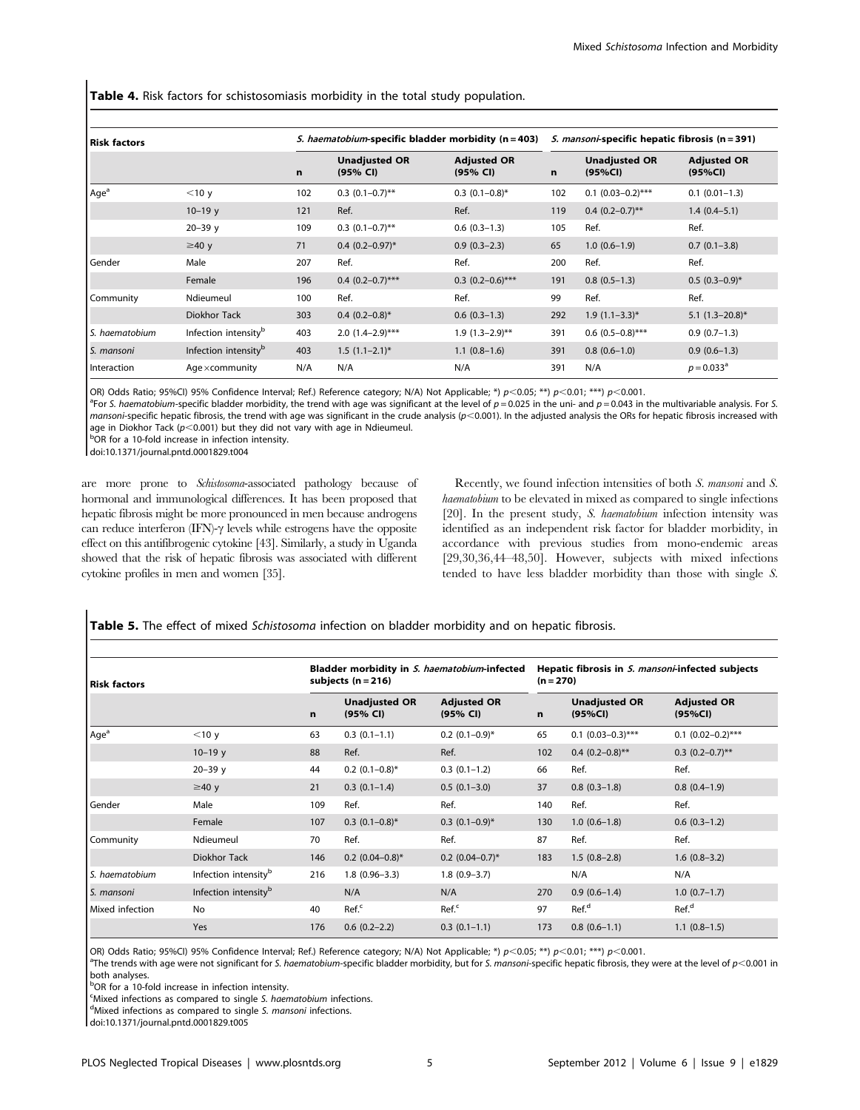Table 4. Risk factors for schistosomiasis morbidity in the total study population.

| <b>Risk factors</b> |                                  |             |                                  | <i>S. haematobium</i> -specific bladder morbidity (n = 403) | S. mansoni-specific hepatic fibrosis (n = 391) |                                 |                               |
|---------------------|----------------------------------|-------------|----------------------------------|-------------------------------------------------------------|------------------------------------------------|---------------------------------|-------------------------------|
|                     |                                  | $\mathbf n$ | <b>Unadjusted OR</b><br>(95% CI) | <b>Adjusted OR</b><br>(95% CI)                              | n                                              | <b>Unadjusted OR</b><br>(95%CI) | <b>Adjusted OR</b><br>(95%CI) |
| Age <sup>a</sup>    | $<$ 10 $y$                       | 102         | $0.3$ $(0.1-0.7)$ **             | $0.3$ $(0.1-0.8)$ *                                         | 102                                            | $0.1$ (0.03-0.2)***             | $0.1(0.01-1.3)$               |
|                     | $10 - 19y$                       | 121         | Ref.                             | Ref.                                                        | 119                                            | $0.4$ (0.2–0.7)**               | $1.4(0.4-5.1)$                |
|                     | $20 - 39y$                       | 109         | $0.3$ $(0.1-0.7)$ **             | $0.6(0.3-1.3)$                                              | 105                                            | Ref.                            | Ref.                          |
|                     | $\geq$ 40 y                      | 71          | $0.4(0.2-0.97)^{*}$              | $0.9(0.3-2.3)$                                              | 65                                             | $1.0(0.6-1.9)$                  | $0.7(0.1-3.8)$                |
| Gender              | Male                             | 207         | Ref.                             | Ref.                                                        | 200                                            | Ref.                            | Ref.                          |
|                     | Female                           | 196         | $0.4$ $(0.2-0.7)$ ***            | $0.3$ (0.2-0.6)***                                          | 191                                            | $0.8(0.5-1.3)$                  | $0.5(0.3-0.9)$ *              |
| Community           | Ndieumeul                        | 100         | Ref.                             | Ref.                                                        | 99                                             | Ref.                            | Ref.                          |
|                     | <b>Diokhor Tack</b>              | 303         | $0.4(0.2-0.8)$ *                 | $0.6(0.3-1.3)$                                              | 292                                            | $1.9(1.1-3.3)*$                 | 5.1 $(1.3-20.8)$ *            |
| S. haematobium      | Infection intensity <sup>b</sup> | 403         | $2.0(1.4-2.9)$ ***               | $1.9(1.3-2.9)$ **                                           | 391                                            | $0.6$ $(0.5-0.8)$ ***           | $0.9(0.7-1.3)$                |
| S. mansoni          | Infection intensity <sup>b</sup> | 403         | $1.5(1.1-2.1)^{*}$               | $1.1(0.8-1.6)$                                              | 391                                            | $0.8(0.6-1.0)$                  | $0.9(0.6-1.3)$                |
| Interaction         | $Age \times community$           | N/A         | N/A                              | N/A                                                         | 391                                            | N/A                             | $p = 0.033^a$                 |

OR) Odds Ratio; 95%CI) 95% Confidence Interval; Ref.) Reference category; N/A) Not Applicable; \*)  $p<0.05$ ; \*\*)  $p<0.01$ ; \*\*\*)  $p<0.001$ .

<sup>a</sup> For S. haematobium-specific bladder morbidity, the trend with age was significant at the level of  $p = 0.025$  in the uni- and  $p = 0.043$  in the multivariable analysis. For S.  $m$ ansoni-specific hepatic fibrosis, the trend with age was significant in the crude analysis ( $p$ <0.001). In the adjusted analysis the ORs for hepatic fibrosis increased with age in Diokhor Tack ( $p<0.001$ ) but they did not vary with age in Ndieumeul. **<sup>b</sup>OR** for a 10-fold increase in infection intensity.

doi:10.1371/journal.pntd.0001829.t004

are more prone to Schistosoma-associated pathology because of hormonal and immunological differences. It has been proposed that hepatic fibrosis might be more pronounced in men because androgens can reduce interferon (IFN)- $\gamma$  levels while estrogens have the opposite effect on this antifibrogenic cytokine [43]. Similarly, a study in Uganda showed that the risk of hepatic fibrosis was associated with different cytokine profiles in men and women [35].

Recently, we found infection intensities of both S. mansoni and S. haematobium to be elevated in mixed as compared to single infections [20]. In the present study, S. haematobium infection intensity was identified as an independent risk factor for bladder morbidity, in accordance with previous studies from mono-endemic areas [29,30,36,44–48,50]. However, subjects with mixed infections tended to have less bladder morbidity than those with single S.

Table 5. The effect of mixed Schistosoma infection on bladder morbidity and on hepatic fibrosis.

| Risk factors     |                                  |     | subjects $(n = 216)$             | Bladder morbidity in S. haematobium-infected | Hepatic fibrosis in S. mansoni-infected subjects<br>$(n = 270)$ |                                 |                               |
|------------------|----------------------------------|-----|----------------------------------|----------------------------------------------|-----------------------------------------------------------------|---------------------------------|-------------------------------|
|                  |                                  | n   | <b>Unadjusted OR</b><br>(95% CI) | <b>Adjusted OR</b><br>(95% CI)               | n                                                               | <b>Unadjusted OR</b><br>(95%CI) | <b>Adjusted OR</b><br>(95%CI) |
| $Aq e^a$         | $<$ 10 $y$                       | 63  | $0.3(0.1-1.1)$                   | $0.2$ $(0.1-0.9)$ *                          | 65                                                              | $0.1$ $(0.03-0.3)$ ***          | $0.1$ (0.02-0.2)***           |
|                  | $10 - 19y$                       | 88  | Ref.                             | Ref.                                         | 102                                                             | $0.4$ $(0.2-0.8)$ **            | $0.3$ (0.2–0.7)**             |
|                  | $20 - 39y$                       | 44  | $0.2$ $(0.1-0.8)$ *              | $0.3(0.1-1.2)$                               | 66                                                              | Ref.                            | Ref.                          |
|                  | $\geq$ 40 y                      | 21  | $0.3(0.1-1.4)$                   | $0.5(0.1-3.0)$                               | 37                                                              | $0.8(0.3-1.8)$                  | $0.8(0.4-1.9)$                |
| Gender           | Male                             | 109 | Ref.                             | Ref.                                         | 140                                                             | Ref.                            | Ref.                          |
|                  | Female                           | 107 | $0.3$ $(0.1-0.8)$ *              | $0.3$ $(0.1-0.9)$ *                          | 130                                                             | $1.0(0.6-1.8)$                  | $0.6(0.3-1.2)$                |
| <b>Community</b> | Ndieumeul                        | 70  | Ref.                             | Ref.                                         | 87                                                              | Ref.                            | Ref.                          |
|                  | <b>Diokhor Tack</b>              | 146 | $0.2$ (0.04-0.8)*                | $0.2$ (0.04-0.7)*                            | 183                                                             | $1.5(0.8-2.8)$                  | $1.6(0.8-3.2)$                |
| S. haematobium   | Infection intensity <sup>b</sup> | 216 | $1.8(0.96 - 3.3)$                | $1.8(0.9-3.7)$                               |                                                                 | N/A                             | N/A                           |
| S. mansoni       | Infection intensity <sup>b</sup> |     | N/A                              | N/A                                          | 270                                                             | $0.9(0.6-1.4)$                  | $1.0(0.7-1.7)$                |
| Mixed infection  | No                               | 40  | Ref. <sup>c</sup>                | Ref <sup>c</sup>                             | 97                                                              | Ref. <sup>d</sup>               | Ref. <sup>d</sup>             |
|                  | Yes                              | 176 | $0.6(0.2-2.2)$                   | $0.3(0.1-1.1)$                               | 173                                                             | $0.8(0.6-1.1)$                  | $1.1(0.8-1.5)$                |

OR) Odds Ratio; 95%CI) 95% Confidence Interval; Ref.) Reference category; N/A) Not Applicable; \*)  $p<0.05$ ; \*\*)  $p<0.01$ ; \*\*\*)  $p<0.001$ .

 $^{\rm a}$ The trends with age were not significant for S. *haematobium-*specific bladder morbidity, but for S. *mansoni-s*pecific hepatic fibrosis, they were at the level of p<0.001 in both analyses.

<sup>b</sup>OR for a 10-fold increase in infection intensity.

 $\epsilon$ Mixed infections as compared to single S. *haematobium* infections.

<sup>d</sup>Mixed infections as compared to single S. mansoni infections.

doi:10.1371/journal.pntd.0001829.t005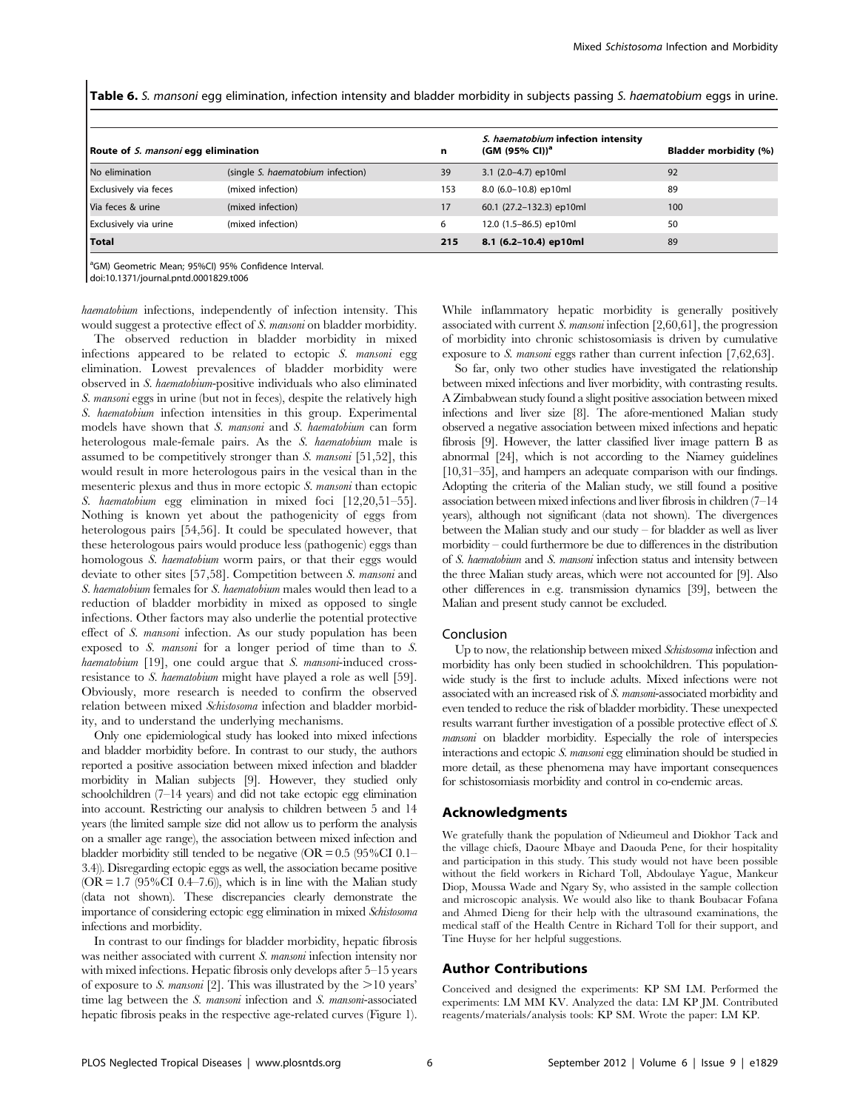Table 6. S. mansoni egg elimination, infection intensity and bladder morbidity in subjects passing S. haematobium eggs in urine.

| Route of S. mansoni egg elimination |                                   | n   | S. haematobium infection intensity<br>$(GM (95\% CI))^a$ | <b>Bladder morbidity (%)</b> |
|-------------------------------------|-----------------------------------|-----|----------------------------------------------------------|------------------------------|
| No elimination                      | (single S. haematobium infection) | 39  | $3.1$ (2.0-4.7) ep10ml                                   | 92                           |
| <b>Exclusively via feces</b>        | (mixed infection)                 | 153 | 8.0 (6.0-10.8) ep10ml                                    | 89                           |
| Via feces & urine                   | (mixed infection)                 | 17  | 60.1 (27.2-132.3) ep10ml                                 | 100                          |
| Exclusively via urine               | (mixed infection)                 | 6   | 12.0 (1.5-86.5) ep10ml                                   | 50                           |
| Total                               |                                   | 215 | 8.1 (6.2-10.4) ep10ml                                    | 89                           |

<sup>a</sup>GM) Geometric Mean; 95%CI) 95% Confidence Interval. doi:10.1371/journal.pntd.0001829.t006

haematobium infections, independently of infection intensity. This would suggest a protective effect of S. mansoni on bladder morbidity.

The observed reduction in bladder morbidity in mixed infections appeared to be related to ectopic S. mansoni egg elimination. Lowest prevalences of bladder morbidity were observed in S. haematobium-positive individuals who also eliminated S. mansoni eggs in urine (but not in feces), despite the relatively high S. haematobium infection intensities in this group. Experimental models have shown that S. mansoni and S. haematobium can form heterologous male-female pairs. As the S. haematobium male is assumed to be competitively stronger than S. mansoni [51,52], this would result in more heterologous pairs in the vesical than in the mesenteric plexus and thus in more ectopic S. mansoni than ectopic S. haematobium egg elimination in mixed foci [12,20,51–55]. Nothing is known yet about the pathogenicity of eggs from heterologous pairs [54,56]. It could be speculated however, that these heterologous pairs would produce less (pathogenic) eggs than homologous S. haematobium worm pairs, or that their eggs would deviate to other sites [57,58]. Competition between S. mansoni and S. haematobium females for S. haematobium males would then lead to a reduction of bladder morbidity in mixed as opposed to single infections. Other factors may also underlie the potential protective effect of S. mansoni infection. As our study population has been exposed to S. mansoni for a longer period of time than to S. haematobium [19], one could argue that S. mansoni-induced crossresistance to S. haematobium might have played a role as well [59]. Obviously, more research is needed to confirm the observed relation between mixed Schistosoma infection and bladder morbidity, and to understand the underlying mechanisms.

Only one epidemiological study has looked into mixed infections and bladder morbidity before. In contrast to our study, the authors reported a positive association between mixed infection and bladder morbidity in Malian subjects [9]. However, they studied only schoolchildren (7–14 years) and did not take ectopic egg elimination into account. Restricting our analysis to children between 5 and 14 years (the limited sample size did not allow us to perform the analysis on a smaller age range), the association between mixed infection and bladder morbidity still tended to be negative ( $OR = 0.5$  (95%CI 0.1– 3.4)). Disregarding ectopic eggs as well, the association became positive  $(OR = 1.7 \ (95\% CI \ 0.4–7.6))$ , which is in line with the Malian study (data not shown). These discrepancies clearly demonstrate the importance of considering ectopic egg elimination in mixed Schistosoma infections and morbidity.

In contrast to our findings for bladder morbidity, hepatic fibrosis was neither associated with current S. mansoni infection intensity nor with mixed infections. Hepatic fibrosis only develops after 5–15 years of exposure to *S. mansoni* [2]. This was illustrated by the  $>10$  years' time lag between the S. mansoni infection and S. mansoni-associated hepatic fibrosis peaks in the respective age-related curves (Figure 1).

While inflammatory hepatic morbidity is generally positively associated with current S. mansoni infection [2,60,61], the progression of morbidity into chronic schistosomiasis is driven by cumulative exposure to S. mansoni eggs rather than current infection [7,62,63].

So far, only two other studies have investigated the relationship between mixed infections and liver morbidity, with contrasting results. A Zimbabwean study found a slight positive association between mixed infections and liver size [8]. The afore-mentioned Malian study observed a negative association between mixed infections and hepatic fibrosis [9]. However, the latter classified liver image pattern B as abnormal [24], which is not according to the Niamey guidelines [10,31–35], and hampers an adequate comparison with our findings. Adopting the criteria of the Malian study, we still found a positive association between mixed infections and liver fibrosis in children (7–14 years), although not significant (data not shown). The divergences between the Malian study and our study – for bladder as well as liver morbidity – could furthermore be due to differences in the distribution of S. haematobium and S. mansoni infection status and intensity between the three Malian study areas, which were not accounted for [9]. Also other differences in e.g. transmission dynamics [39], between the Malian and present study cannot be excluded.

## Conclusion

Up to now, the relationship between mixed Schistosoma infection and morbidity has only been studied in schoolchildren. This populationwide study is the first to include adults. Mixed infections were not associated with an increased risk of S. mansoni-associated morbidity and even tended to reduce the risk of bladder morbidity. These unexpected results warrant further investigation of a possible protective effect of S. mansoni on bladder morbidity. Especially the role of interspecies interactions and ectopic S. mansoni egg elimination should be studied in more detail, as these phenomena may have important consequences for schistosomiasis morbidity and control in co-endemic areas.

#### Acknowledgments

We gratefully thank the population of Ndieumeul and Diokhor Tack and the village chiefs, Daoure Mbaye and Daouda Pene, for their hospitality and participation in this study. This study would not have been possible without the field workers in Richard Toll, Abdoulaye Yague, Mankeur Diop, Moussa Wade and Ngary Sy, who assisted in the sample collection and microscopic analysis. We would also like to thank Boubacar Fofana and Ahmed Dieng for their help with the ultrasound examinations, the medical staff of the Health Centre in Richard Toll for their support, and Tine Huyse for her helpful suggestions.

#### Author Contributions

Conceived and designed the experiments: KP SM LM. Performed the experiments: LM MM KV. Analyzed the data: LM KP JM. Contributed reagents/materials/analysis tools: KP SM. Wrote the paper: LM KP.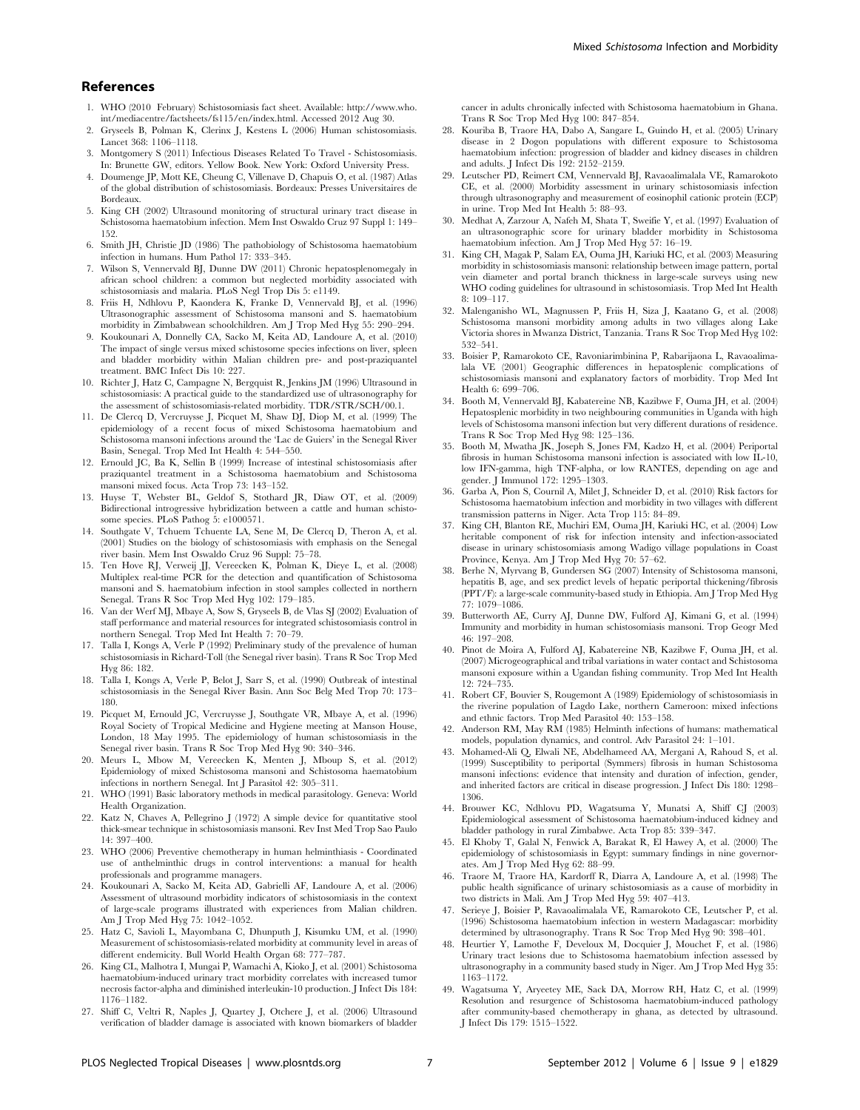#### References

- 1. WHO (2010 February) Schistosomiasis fact sheet. Available: http://www.who. int/mediacentre/factsheets/fs115/en/index.html. Accessed 2012 Aug 30.
- 2. Gryseels B, Polman K, Clerinx J, Kestens L (2006) Human schistosomiasis. Lancet 368: 1106–1118.
- 3. Montgomery S (2011) Infectious Diseases Related To Travel Schistosomiasis. In: Brunette GW, editors. Yellow Book. New York: Oxford University Press.
- 4. Doumenge JP, Mott KE, Cheung C, Villenave D, Chapuis O, et al. (1987) Atlas of the global distribution of schistosomiasis. Bordeaux: Presses Universitaires de Bordeaux.
- 5. King CH (2002) Ultrasound monitoring of structural urinary tract disease in Schistosoma haematobium infection. Mem Inst Oswaldo Cruz 97 Suppl 1: 149– 152.
- 6. Smith JH, Christie JD (1986) The pathobiology of Schistosoma haematobium infection in humans. Hum Pathol 17: 333–345.
- 7. Wilson S, Vennervald BJ, Dunne DW (2011) Chronic hepatosplenomegaly in african school children: a common but neglected morbidity associated with schistosomiasis and malaria. PLoS Negl Trop Dis 5: e1149.
- 8. Friis H, Ndhlovu P, Kaondera K, Franke D, Vennervald BJ, et al. (1996) Ultrasonographic assessment of Schistosoma mansoni and S. haematobium morbidity in Zimbabwean schoolchildren. Am J Trop Med Hyg 55: 290–294.
- 9. Koukounari A, Donnelly CA, Sacko M, Keita AD, Landoure A, et al. (2010) The impact of single versus mixed schistosome species infections on liver, spleen and bladder morbidity within Malian children pre- and post-praziquantel treatment. BMC Infect Dis 10: 227.
- 10. Richter J, Hatz C, Campagne N, Bergquist R, Jenkins JM (1996) Ultrasound in schistosomiasis: A practical guide to the standardized use of ultrasonography for the assessment of schistosomiasis-related morbidity. TDR/STR/SCH/00.1.
- 11. De Clercq D, Vercruysse J, Picquet M, Shaw DJ, Diop M, et al. (1999) The epidemiology of a recent focus of mixed Schistosoma haematobium and Schistosoma mansoni infections around the 'Lac de Guiers' in the Senegal River Basin, Senegal. Trop Med Int Health 4: 544–550.
- 12. Ernould JC, Ba K, Sellin B (1999) Increase of intestinal schistosomiasis after praziquantel treatment in a Schistosoma haematobium and Schistosoma mansoni mixed focus. Acta Trop 73: 143–152.
- 13. Huyse T, Webster BL, Geldof S, Stothard JR, Diaw OT, et al. (2009) Bidirectional introgressive hybridization between a cattle and human schistosome species. PLoS Pathog 5: e1000571.
- 14. Southgate V, Tchuem Tchuente LA, Sene M, De Clercq D, Theron A, et al. (2001) Studies on the biology of schistosomiasis with emphasis on the Senegal river basin. Mem Inst Oswaldo Cruz 96 Suppl: 75–78.
- 15. Ten Hove RJ, Verweij JJ, Vereecken K, Polman K, Dieye L, et al. (2008) Multiplex real-time PCR for the detection and quantification of Schistosoma mansoni and S. haematobium infection in stool samples collected in northern Senegal. Trans R Soc Trop Med Hyg 102: 179–185.
- 16. Van der Werf MJ, Mbaye A, Sow S, Gryseels B, de Vlas SJ (2002) Evaluation of staff performance and material resources for integrated schistosomiasis control in northern Senegal. Trop Med Int Health 7: 70–79.
- 17. Talla I, Kongs A, Verle P (1992) Preliminary study of the prevalence of human schistosomiasis in Richard-Toll (the Senegal river basin). Trans R Soc Trop Med Hyg 86: 182.
- 18. Talla I, Kongs A, Verle P, Belot J, Sarr S, et al. (1990) Outbreak of intestinal schistosomiasis in the Senegal River Basin. Ann Soc Belg Med Trop 70: 173– 180.
- 19. Picquet M, Ernould JC, Vercruysse J, Southgate VR, Mbaye A, et al. (1996) Royal Society of Tropical Medicine and Hygiene meeting at Manson House, London, 18 May 1995. The epidemiology of human schistosomiasis in the Senegal river basin. Trans R Soc Trop Med Hyg 90: 340–346.
- 20. Meurs L, Mbow M, Vereecken K, Menten J, Mboup S, et al. (2012) Epidemiology of mixed Schistosoma mansoni and Schistosoma haematobium infections in northern Senegal. Int J Parasitol 42: 305–311.
- 21. WHO (1991) Basic laboratory methods in medical parasitology. Geneva: World Health Organization.
- 22. Katz N, Chaves A, Pellegrino J (1972) A simple device for quantitative stool thick-smear technique in schistosomiasis mansoni. Rev Inst Med Trop Sao Paulo 14: 397–400.
- 23. WHO (2006) Preventive chemotherapy in human helminthiasis Coordinated use of anthelminthic drugs in control interventions: a manual for health professionals and programme managers.
- 24. Koukounari A, Sacko M, Keita AD, Gabrielli AF, Landoure A, et al. (2006) Assessment of ultrasound morbidity indicators of schistosomiasis in the context of large-scale programs illustrated with experiences from Malian children. Am J Trop Med Hyg 75: 1042–1052.
- 25. Hatz C, Savioli L, Mayombana C, Dhunputh J, Kisumku UM, et al. (1990) Measurement of schistosomiasis-related morbidity at community level in areas of different endemicity. Bull World Health Organ 68: 777–787.
- 26. King CL, Malhotra I, Mungai P, Wamachi A, Kioko J, et al. (2001) Schistosoma haematobium-induced urinary tract morbidity correlates with increased tumor necrosis factor-alpha and diminished interleukin-10 production. J Infect Dis 184: 1176–1182.
- 27. Shiff C, Veltri R, Naples J, Quartey J, Otchere J, et al. (2006) Ultrasound verification of bladder damage is associated with known biomarkers of bladder

cancer in adults chronically infected with Schistosoma haematobium in Ghana. Trans R Soc Trop Med Hyg 100: 847–854.

- 28. Kouriba B, Traore HA, Dabo A, Sangare L, Guindo H, et al. (2005) Urinary disease in 2 Dogon populations with different exposure to Schistosoma haematobium infection: progression of bladder and kidney diseases in children and adults. J Infect Dis 192: 2152–2159.
- 29. Leutscher PD, Reimert CM, Vennervald BJ, Ravaoalimalala VE, Ramarokoto CE, et al. (2000) Morbidity assessment in urinary schistosomiasis infection through ultrasonography and measurement of eosinophil cationic protein (ECP) in urine. Trop Med Int Health 5: 88–93.
- 30. Medhat A, Zarzour A, Nafeh M, Shata T, Sweifie Y, et al. (1997) Evaluation of an ultrasonographic score for urinary bladder morbidity in Schistosoma haematobium infection. Am J Trop Med Hyg 57: 16–19.
- 31. King CH, Magak P, Salam EA, Ouma JH, Kariuki HC, et al. (2003) Measuring morbidity in schistosomiasis mansoni: relationship between image pattern, portal vein diameter and portal branch thickness in large-scale surveys using new WHO coding guidelines for ultrasound in schistosomiasis. Trop Med Int Health 8: 109–117.
- 32. Malenganisho WL, Magnussen P, Friis H, Siza J, Kaatano G, et al. (2008) Schistosoma mansoni morbidity among adults in two villages along Lake Victoria shores in Mwanza District, Tanzania. Trans R Soc Trop Med Hyg 102: 532–541.
- 33. Boisier P, Ramarokoto CE, Ravoniarimbinina P, Rabarijaona L, Ravaoalimalala VE (2001) Geographic differences in hepatosplenic complications of schistosomiasis mansoni and explanatory factors of morbidity. Trop Med Int Health 6: 699–706.
- 34. Booth M, Vennervald BJ, Kabatereine NB, Kazibwe F, Ouma JH, et al. (2004) Hepatosplenic morbidity in two neighbouring communities in Uganda with high levels of Schistosoma mansoni infection but very different durations of residence. Trans R Soc Trop Med Hyg 98: 125–136.
- 35. Booth M, Mwatha JK, Joseph S, Jones FM, Kadzo H, et al. (2004) Periportal fibrosis in human Schistosoma mansoni infection is associated with low IL-10, low IFN-gamma, high TNF-alpha, or low RANTES, depending on age and gender. J Immunol 172: 1295–1303.
- 36. Garba A, Pion S, Cournil A, Milet J, Schneider D, et al. (2010) Risk factors for Schistosoma haematobium infection and morbidity in two villages with different transmission patterns in Niger. Acta Trop 115: 84–89.
- 37. King CH, Blanton RE, Muchiri EM, Ouma JH, Kariuki HC, et al. (2004) Low heritable component of risk for infection intensity and infection-associated disease in urinary schistosomiasis among Wadigo village populations in Coast Province, Kenya. Am J Trop Med Hyg 70: 57–62.
- 38. Berhe N, Myrvang B, Gundersen SG (2007) Intensity of Schistosoma mansoni, hepatitis B, age, and sex predict levels of hepatic periportal thickening/fibrosis (PPT/F): a large-scale community-based study in Ethiopia. Am J Trop Med Hyg 77: 1079–1086.
- 39. Butterworth AE, Curry AJ, Dunne DW, Fulford AJ, Kimani G, et al. (1994) Immunity and morbidity in human schistosomiasis mansoni. Trop Geogr Med 46: 197–208.
- 40. Pinot de Moira A, Fulford AJ, Kabatereine NB, Kazibwe F, Ouma JH, et al. (2007) Microgeographical and tribal variations in water contact and Schistosoma mansoni exposure within a Ugandan fishing community. Trop Med Int Health 12: 724–735.
- 41. Robert CF, Bouvier S, Rougemont A (1989) Epidemiology of schistosomiasis in the riverine population of Lagdo Lake, northern Cameroon: mixed infections and ethnic factors. Trop Med Parasitol 40: 153–158.
- 42. Anderson RM, May RM (1985) Helminth infections of humans: mathematical models, population dynamics, and control. Adv Parasitol 24: 1–101.
- 43. Mohamed-Ali Q, Elwali NE, Abdelhameed AA, Mergani A, Rahoud S, et al. (1999) Susceptibility to periportal (Symmers) fibrosis in human Schistosoma mansoni infections: evidence that intensity and duration of infection, gender, and inherited factors are critical in disease progression. J Infect Dis 180: 1298– 1306.
- 44. Brouwer KC, Ndhlovu PD, Wagatsuma Y, Munatsi A, Shiff CJ (2003) Epidemiological assessment of Schistosoma haematobium-induced kidney and bladder pathology in rural Zimbabwe. Acta Trop 85: 339–347.
- 45. El Khoby T, Galal N, Fenwick A, Barakat R, El Hawey A, et al. (2000) The epidemiology of schistosomiasis in Egypt: summary findings in nine governorates. Am J Trop Med Hyg 62: 88–99.
- 46. Traore M, Traore HA, Kardorff R, Diarra A, Landoure A, et al. (1998) The public health significance of urinary schistosomiasis as a cause of morbidity in two districts in Mali. Am J Trop Med Hyg 59: 407–413.
- 47. Serieye J, Boisier P, Ravaoalimalala VE, Ramarokoto CE, Leutscher P, et al. (1996) Schistosoma haematobium infection in western Madagascar: morbidity determined by ultrasonography. Trans R Soc Trop Med Hyg 90: 398–401.
- 48. Heurtier Y, Lamothe F, Develoux M, Docquier J, Mouchet F, et al. (1986) Urinary tract lesions due to Schistosoma haematobium infection assessed by ultrasonography in a community based study in Niger. Am J Trop Med Hyg 35: 1163–1172.
- 49. Wagatsuma Y, Aryeetey ME, Sack DA, Morrow RH, Hatz C, et al. (1999) Resolution and resurgence of Schistosoma haematobium-induced pathology after community-based chemotherapy in ghana, as detected by ultrasound. J Infect Dis 179: 1515–1522.